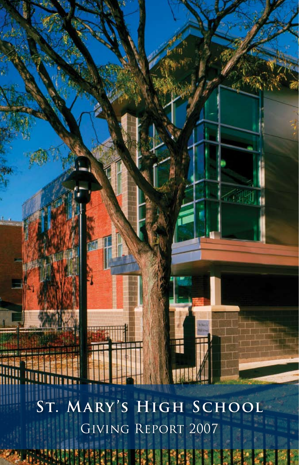**St. Mary 's High School** Giving Report 2007

48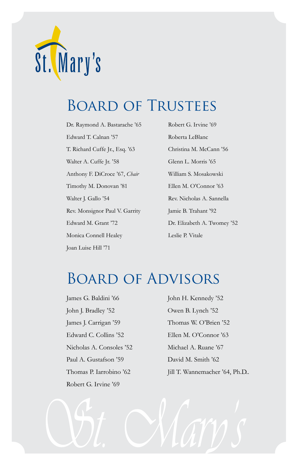

# Board of Trustees

Dr. Raymond A. Bastarache '65 Edward T. Calnan '57 T. Richard Cuffe Jr., Esq. '63 Walter A. Cuffe Jr. '58 Anthony F. DiCroce '67, *Chair* Timothy M. Donovan '81 Walter J. Gallo '54 Rev. Monsignor Paul V. Garrity Edward M. Grant '72 Monica Connell Healey Joan Luise Hill '71

Robert G. Irvine '69 Roberta LeBlanc Christina M. McCann '56 Glenn L. Morris '65 William S. Mosakowski Ellen M. O'Connor '63 Rev. Nicholas A. Sannella Jamie B. Trahant '92 Dr. Elizabeth A. Twomey '52 Leslie P. Vitale

# Board of Advisors

James G. Baldini '66 John J. Bradley '52 James J. Carrigan '59 Edward C. Collins '52 Nicholas A. Consoles '52 Paul A. Gustafson '59 Thomas P. Iarrobino '62 Robert G. Irvine '69

John H. Kennedy '52 Owen B. Lynch '52 Thomas W. O'Brien '52 Ellen M. O'Connor '63 Michael A. Ruane '67 David M. Smith '62 Jill T. Wannemacher '64, Ph.D..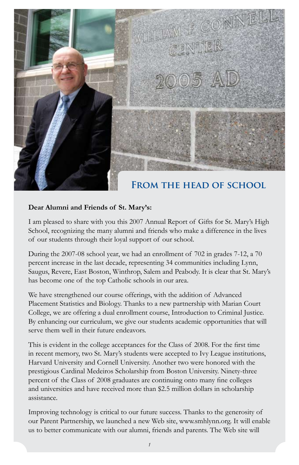

#### **Dear Alumni and Friends of St. Mary's:**

I am pleased to share with you this 2007 Annual Report of Gifts for St. Mary's High School, recognizing the many alumni and friends who make a difference in the lives of our students through their loyal support of our school.

During the 2007-08 school year, we had an enrollment of 702 in grades 7-12, a 70 percent increase in the last decade, representing 34 communities including Lynn, Saugus, Revere, East Boston, Winthrop, Salem and Peabody. It is clear that St. Mary's has become one of the top Catholic schools in our area.

We have strengthened our course offerings, with the addition of Advanced Placement Statistics and Biology. Thanks to a new partnership with Marian Court College, we are offering a dual enrollment course, Introduction to Criminal Justice. By enhancing our curriculum, we give our students academic opportunities that will serve them well in their future endeavors.

This is evident in the college acceptances for the Class of 2008. For the first time in recent memory, two St. Mary's students were accepted to Ivy League institutions, Harvard University and Cornell University. Another two were honored with the prestigious Cardinal Medeiros Scholarship from Boston University. Ninety-three percent of the Class of 2008 graduates are continuing onto many fine colleges and universities and have received more than \$2.5 million dollars in scholarship assistance.

Improving technology is critical to our future success. Thanks to the generosity of our Parent Partnership, we launched a new Web site, www.smhlynn.org. It will enable us to better communicate with our alumni, friends and parents. The Web site will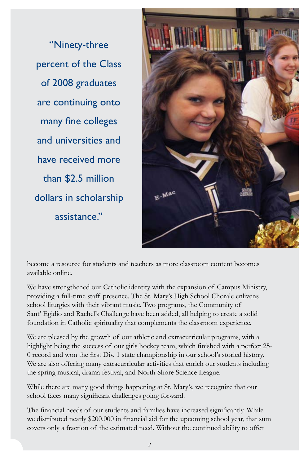"Ninety-three percent of the Class of 2008 graduates are continuing onto many fine colleges and universities and have received more than \$2.5 million dollars in scholarship assistance."



become a resource for students and teachers as more classroom content becomes available online.

We have strengthened our Catholic identity with the expansion of Campus Ministry, providing a full-time staff presence. The St. Mary's High School Chorale enlivens school liturgies with their vibrant music. Two programs, the Community of Sant' Egidio and Rachel's Challenge have been added, all helping to create a solid foundation in Catholic spirituality that complements the classroom experience.

We are pleased by the growth of our athletic and extracurricular programs, with a highlight being the success of our girls hockey team, which finished with a perfect 25- 0 record and won the first Div. 1 state championship in our school's storied history. We are also offering many extracurricular activities that enrich our students including the spring musical, drama festival, and North Shore Science League.

While there are many good things happening at St. Mary's, we recognize that our school faces many significant challenges going forward.

The financial needs of our students and families have increased significantly. While we distributed nearly \$200,000 in financial aid for the upcoming school year, that sum covers only a fraction of the estimated need. Without the continued ability to offer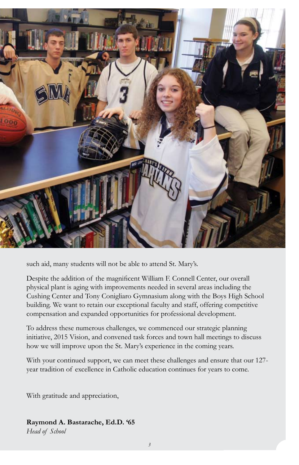

such aid, many students will not be able to attend St. Mary's.

Despite the addition of the magnificent William F. Connell Center, our overall physical plant is aging with improvements needed in several areas including the Cushing Center and Tony Conigliaro Gymnasium along with the Boys High School building. We want to retain our exceptional faculty and staff, offering competitive compensation and expanded opportunities for professional development.

To address these numerous challenges, we commenced our strategic planning initiative, 2015 Vision, and convened task forces and town hall meetings to discuss how we will improve upon the St. Mary's experience in the coming years.

With your continued support, we can meet these challenges and ensure that our 127 year tradition of excellence in Catholic education continues for years to come.

With gratitude and appreciation,

#### **Raymond A. Bastarache, Ed.D. '65**

*Head of School*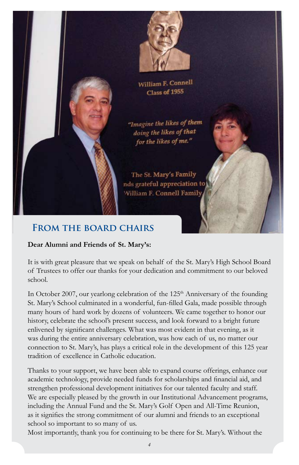



William F. Connell Class of 1955

"Imagine the likes of them doing the likes of that for the likes of me."

The St. Mary's Family nds grateful appreciation to William F. Connell Family

### **From the board chairs**

#### **Dear Alumni and Friends of St. Mary's:**

It is with great pleasure that we speak on behalf of the St. Mary's High School Board of Trustees to offer our thanks for your dedication and commitment to our beloved school.

In October 2007, our yearlong celebration of the 125<sup>th</sup> Anniversary of the founding St. Mary's School culminated in a wonderful, fun-filled Gala, made possible through many hours of hard work by dozens of volunteers. We came together to honor our history, celebrate the school's present success, and look forward to a bright future enlivened by significant challenges. What was most evident in that evening, as it was during the entire anniversary celebration, was how each of us, no matter our connection to St. Mary's, has plays a critical role in the development of this 125 year tradition of excellence in Catholic education.

Thanks to your support, we have been able to expand course offerings, enhance our academic technology, provide needed funds for scholarships and financial aid, and strengthen professional development initiatives for our talented faculty and staff. We are especially pleased by the growth in our Institutional Advancement programs, including the Annual Fund and the St. Mary's Golf Open and All-Time Reunion, as it signifies the strong commitment of our alumni and friends to an exceptional school so important to so many of us.

Most importantly, thank you for continuing to be there for St. Mary's. Without the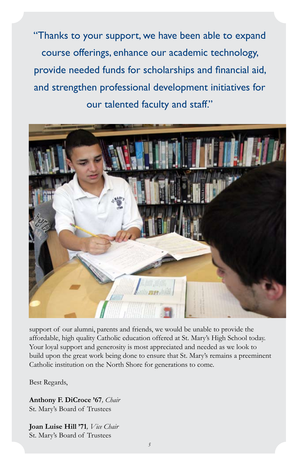"Thanks to your support, we have been able to expand course offerings, enhance our academic technology, provide needed funds for scholarships and financial aid, and strengthen professional development initiatives for our talented faculty and staff."



support of our alumni, parents and friends, we would be unable to provide the affordable, high quality Catholic education offered at St. Mary's High School today. Your loyal support and generosity is most appreciated and needed as we look to build upon the great work being done to ensure that St. Mary's remains a preeminent Catholic institution on the North Shore for generations to come.

Best Regards,

**Anthony F. DiCroce '67***, Chair* St. Mary's Board of Trustees

**Joan Luise Hill '71***, Vice Chair* St. Mary's Board of Trustees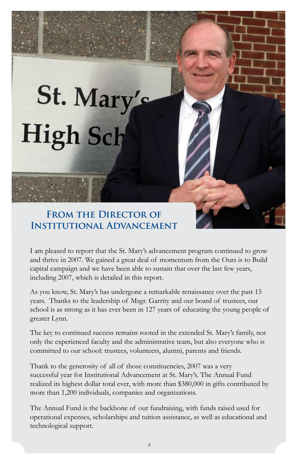# St. Mary's High Sch

### **From the Director of Institutional Advancement**

I am pleased to report that the St. Mary's advancement program continued to grow and thrive in 2007. We gained a great deal of momentum from the Ours is to Build capital campaign and we have been able to sustain that over the last few years, including 2007, which is detailed in this report.

As you know, St. Mary's has undergone a remarkable renaissance over the past 15 years. Thanks to the leadership of Msgr. Garrity and our board of trustees, our school is as strong as it has ever been in 127 years of educating the young people of greater Lynn.

The key to continued success remains rooted in the extended St. Mary's family, not only the experienced faculty and the administrative team, but also everyone who is committed to our school: trustees, volunteers, alumni, parents and friends.

Thank to the generosity of all of those constituencies, 2007 was a very successful year for Institutional Advancement at St. Mary's. The Annual Fund realized its highest dollar total ever, with more than \$380,000 in gifts contributed by more than 1,200 individuals, companies and organizations.

The Annual Fund is the backbone of our fundraising, with funds raised used for operational expenses, scholarships and tuition assistance, as well as educational and technological support.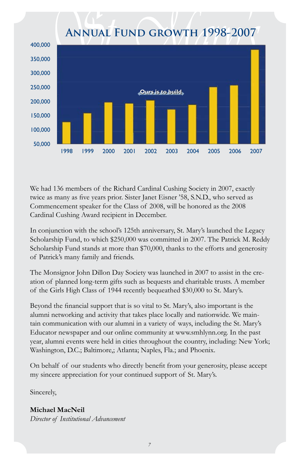# **Annual Fund growth 1998-2007**



We had 136 members of the Richard Cardinal Cushing Society in 2007, exactly twice as many as five years prior. Sister Janet Eisner '58, S.N.D., who served as Commencement speaker for the Class of 2008, will be honored as the 2008 Cardinal Cushing Award recipient in December.

In conjunction with the school's 125th anniversary, St. Mary's launched the Legacy Scholarship Fund, to which \$250,000 was committed in 2007. The Patrick M. Reddy Scholarship Fund stands at more than \$70,000, thanks to the efforts and generosity of Patrick's many family and friends.

The Monsignor John Dillon Day Society was launched in 2007 to assist in the creation of planned long-term gifts such as bequests and charitable trusts. A member of the Girls High Class of 1944 recently bequeathed \$30,000 to St. Mary's.

Beyond the financial support that is so vital to St. Mary's, also important is the alumni networking and activity that takes place locally and nationwide. We maintain communication with our alumni in a variety of ways, including the St. Mary's Educator newspaper and our online community at www.smhlynn.org. In the past year, alumni events were held in cities throughout the country, including: New York; Washington, D.C.; Baltimore,; Atlanta; Naples, Fla.; and Phoenix.

On behalf of our students who directly benefit from your generosity, please accept my sincere appreciation for your continued support of St. Mary's.

Sincerely,

**Michael MacNeil** *Director of Institutional Advancement*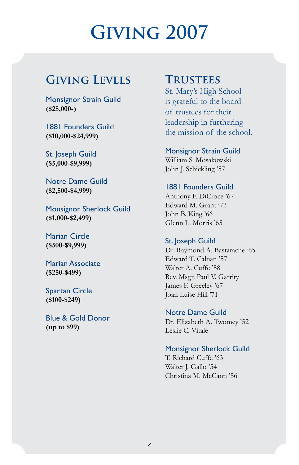# **Giving 2007**

# **Giving Levels**

Monsignor Strain Guild **(\$25,000-)**

1881 Founders Guild **(\$10,000-\$24,999)**

St. Joseph Guild **(\$5,000-\$9,999)**

Notre Dame Guild **(\$2,500-\$4,999)**

Monsignor Sherlock Guild **(\$1,000-\$2,499)**

Marian Circle **(\$500-\$9,999)**

Marian Associate **(\$250-\$499)**

Spartan Circle **(\$100-\$249)**

Blue & Gold Donor **(up to \$99)**

# **Trustees**

St. Mary's High School is grateful to the board of trustees for their leadership in furthering the mission of the school.

#### Monsignor Strain Guild

William S. Mosakowski John J. Schickling '57

#### 1881 Founders Guild

Anthony F. DiCroce '67 Edward M. Grant '72 John B. King '66 Glenn L. Morris '65

#### St. Joseph Guild

Dr. Raymond A. Bastarache '65 Edward T. Calnan '57 Walter A. Cuffe '58 Rev. Msgr. Paul V. Garrity James F. Greeley '67 Joan Luise Hill '71

Notre Dame Guild Dr. Elizabeth A. Twomey '52 Leslie C. Vitale

#### Monsignor Sherlock Guild

T. Richard Cuffe '63 Walter J. Gallo '54 Christina M. McCann '56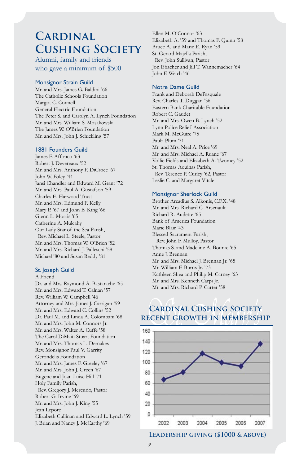# **Cardinal Cushing Society**

Alumni, family and friends who gave a minimum of \$500

#### Monsignor Strain Guild

Mr. and Mrs. James G. Baldini '66 The Catholic Schools Foundation Margot C. Connell General Electric Foundation The Peter S. and Carolyn A. Lynch Foundation Mr. and Mrs. William S. Mosakowski The James W. O'Brien Foundation Mr. and Mrs. John J. Schickling '57

#### 1881 Founders Guild

James F. Affonco '63 Robert J. Devereaux '52 Mr. and Mrs. Anthony F. DiCroce '67 John W. Foley '44 Jansi Chandler and Edward M. Grant '72 Mr. and Mrs. Paul A. Gustafson '59 Charles E. Harwood Trust Mr. and Mrs. Edmund F. Kelly Mary P. '67 and John B. King '66 Glenn L. Morris '65 Catherine A. Mulcahy Our Lady Star of the Sea Parish, Rev. Michael L. Steele, Pastor Mr. and Mrs. Thomas W. O'Brien '52 Mr. and Mrs. Richard J. Palleschi '58 Michael '80 and Susan Reddy '81

#### St. Joseph Guild

#### A Friend

Dr. and Mrs. Raymond A. Bastarache '65 Mr. and Mrs. Edward T. Calnan '57 Rev. William W. Campbell '46 Attorney and Mrs. James J. Carrigan '59 Mr. and Mrs. Edward C. Collins '52 Dr. Paul M. and Linda A. Colombani '68 Mr. and Mrs. John M. Connors Jr. Mr. and Mrs. Walter A. Cuffe '58 The Carol DiMaiti Stuart Foundation Mr. and Mrs. Thomas L. Demakes Rev. Monsignor Paul V. Garrity Gerondelis Foundation Mr. and Mrs. James F. Greeley '67 Mr. and Mrs. John J. Green '67 Eugene and Joan Luise Hill '71 Holy Family Parish, Rev. Gregory J. Mercurio, Pastor Robert G. Irvine '69 Mr. and Mrs. John J. King '55 Jean Lepore Elizabeth Cullinan and Edward L. Lynch '59 J. Brian and Nancy J. McCarthy '69

Ellen M. O'Connor '63 Elizabeth A. '59 and Thomas F. Quinn '58 Bruce A. and Marie E. Ryan '59 St. Gerard Majella Parish, Rev. John Sullivan, Pastor Jon Ebacher and Jill T. Wannemacher '64 John F. Welch '46

#### Notre Dame Guild

Frank and Deborah DePasquale Rev. Charles T. Duggan '36 Eastern Bank Charitable Foundation Robert C. Gaudet Mr. and Mrs. Owen B. Lynch '52 Lynn Police Relief Association Mark M. McGuire '75 Paula Plum '71 Mr. and Mrs. Neal A. Price '69 Mr. and Mrs. Michael A. Ruane '67 Vollie Fields and Elizabeth A. Twomey '52 St. Thomas Aquinas Parish, Rev. Terence P. Curley '62, Pastor Leslie C. and Margaret Vitale

#### Monsignor Sherlock Guild

Brother Arcadius S. Alkonis, C.F.X. '48 Mr. and Mrs. Richard C. Arsenault Richard R. Audette '65 Bank of America Foundation Marie Blair '43 Blessed Sacrament Parish, Rev. John F. Mulloy, Pastor Thomas S. and Madeline A. Bourke '65 Anne J. Brennan Mr. and Mrs. Michael J. Brennan Jr. '65 Mr. William F. Burns Jr. '73 Kathleen Shea and Philip M. Carney '63 Mr. and Mrs. Kenneth Carpi Jr. Mr. and Mrs. Richard P. Carter '58

#### **Cardinal Cushing Society recent growth in membership**



**Leadership giving (\$1000 & above)**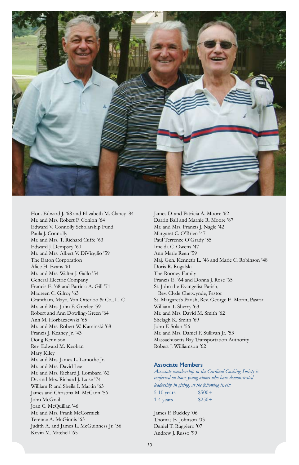

Hon. Edward J. '68 and Elizabeth M. Clancy '84 Mr. and Mrs. Robert F. Conlon '64 Edward V. Connolly Scholarship Fund Paula J. Connolly Mr. and Mrs. T. Richard Cuffe '63 Edward J. Dempsey '60 Mr. and Mrs. Albert V. DiVirgilio '59 The Eaton Corporation Alice H. Evans '61 Mr. and Mrs. Walter J. Gallo '54 General Electric Company Francis E. '68 and Patricia A. Gill '71 Maureen C. Gilroy '63 Grantham, Mayo, Van Otterloo & Co., LLC Mr. and Mrs. John F. Greeley '59 Robert and Ann Dowling-Green '64 Ann M. Horbaczewski '65 Mr. and Mrs. Robert W. Kaminski '68 Francis J. Keaney Jr. '43 Doug Kennison Rev. Edward M. Keohan Mary Kiley Mr. and Mrs. James L. Lamothe Jr. Mr. and Mrs. David Lee Mr. and Mrs. Richard J. Lombard '62 Dr. and Mrs. Richard J. Luise '74 William P. and Sheila I. Martin '63 James and Christina M. McCann '56 John McGrail Joan C. McQuillan '46 Mr. and Mrs. Frank McCormick Terence A. McGinnis '63 Judith A. and James L. McGuinness Jr. '56 Kevin M. Mitchell '65

James D. and Patricia A. Moore '62 Darrin Ball and Marnie R. Moore '87 Mr. and Mrs. Francis J. Nagle '42 Margaret C. O'Brien '47 Paul Terrence O'Grady '55 Imelda C. Owens '47 Ann Marie Reen '59 Maj. Gen. Kenneth L. '46 and Marie C. Robinson '48 Doris R. Rogalski The Rooney Family Francis E. '64 and Donna J. Rose '65 St. John the Evangelist Parish, Rev. Clyde Chetwynde, Pastor St. Margaret's Parish, Rev. George E. Morin, Pastor William T. Sherry '63 Mr. and Mrs. David M. Smith '62 Shelagh K. Smith '69 John F. Solan '56 Mr. and Mrs. Daniel F. Sullivan Jr. '53 Massachusetts Bay Transportation Authority Robert J. Williamson '62

#### Associate Members

*Associate membership in the Cardinal Cushing Society is conferred on those young alums who have demonstrated leadership in giving, at the following levels:*  5-10 years \$500+  $1-4$  years  $$250+$ 

James F. Buckley '06 Thomas E. Johnson '03 Daniel T. Ruggiero '07 Andrew J. Russo '99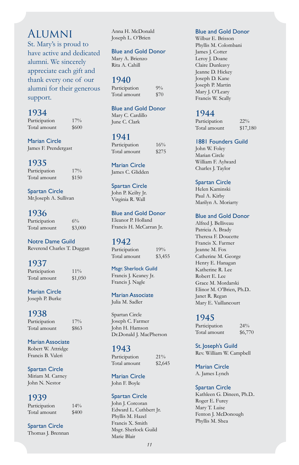# **ALUMNI**

St. Mary's is proud to have active and dedicated alumni. We sincerely appreciate each gift and thank every one of our alumni for their generous support.

#### **1934**

Participation 17% Total amount \$600

Marian Circle James F. Prendergast

#### **1935**

Participation 17% Total amount \$150

Spartan Circle Mr.Joseph A. Sullivan

#### **1936**

Participation 6% Total amount \$3,000

Notre Dame Guild Reverend Charles T. Duggan

#### **1937**

Participation 11% Total amount \$1,050

Marian Circle Joseph P. Burke

#### **1938**

Participation 17% Total amount \$863

#### Marian Associate Robert W. Attridge

Francis B. Valeri

Spartan Circle Miriam M. Carney John N. Nestor

#### **1939**

Participation 14% Total amount \$400

Spartan Circle Thomas J. Brennan

Anna H. McDonald Joseph L. O'Brien

#### Blue and Gold Donor

Mary A. Brienzo Rita A. Cahill

#### **1940**

Participation 9% Total amount \$70

#### Blue and Gold Donor

Mary C. Cardillo June C. Clark

#### **1941**

Participation 16% Total amount \$275

Marian Circle James C. Glidden

#### Spartan Circle John P. Keilty Jr. Virginia R. Wall

Blue and Gold Donor

Eleanor P. Holland Francis H. McCarran Jr.

#### **1942**

Participation 19% Total amount \$3,455

Msgr. Sherlock Guild Francis J. Keaney Jr. Francis J. Nagle

Marian Associate Julia M. Sadler

Spartan Circle Joseph C. Farmer John H. Hamson Dr.Donald J. MacPherson

#### **1943**

Participation 21% Total amount \$2,645

Marian Circle John F. Boyle

#### Spartan Circle

John J. Corcoran Edward L. Cuthbert Jr. Phyllis M. Hazel Francis X. Smith Msgr. Sherlock Guild Marie Blair

#### Blue and Gold Donor

Wilbur E. Brisson Phyllis M. Colombani James J. Cotter Leroy J. Doane Claire Dunleavy Jeanne D. Hickey Joseph D. Kane Joseph P. Martin Mary J. O'Leary Francis W. Scally

#### **1944**

Participation 22% Total amount \$17,180

#### 1881 Founders Guild

John W. Foley Marian Circle William F. Aylward Charles J. Taylor

#### Spartan Circle

Helen Kaminski Paul A. Kirby Marilyn A. Moriarty

#### Blue and Gold Donor

Alfred J. Belliveau Patricia A. Brady Theresa F. Doucette Francis X. Farmer Jeanne M. Fox Catherine M. George Henry E. Hanagan Katherine R. Lee Robert E. Lee Grace M. Mordarski Elinor M. O'Brien, Ph.D.. Janet R. Regan Mary E. Vaillancourt

#### **1945**

Participation 24% Total amount \$6,770

St. Joseph's Guild Rev. William W. Campbell

Marian Circle A. James Lynch

#### Spartan Circle

Kathleen G. Dineen, Ph.D.. Roger E. Furey Mary T. Luise Fenton J. McDonough Phyllis M. Shea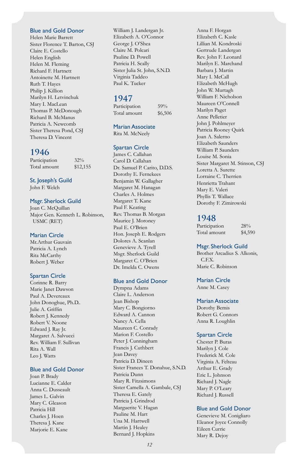#### Blue and Gold Donor

Helen Marie Barrett Sister Florence T. Barton, CSJ Claire E. Costello Helen English Helen M. Fleming Richard F. Hartnett Antoinette M. Hartnett Ruth T. Hayes Philip J. Killion Marilyn H. Letvinchuk Mary I. MacLean Thomas P. McDonough Richard B. McManus Patricia A. Newcomb Sister Theresa Pond, CSJ Theresa D. Vincent

#### **1946**

| Participation | $32\%$   |
|---------------|----------|
| Total amount  | \$12,155 |

#### St. Joseph's Guild

John F. Welch

#### Msgr. Sherlock Guild

Joan C. McQuillan Major Gen. Kenneth L. Robinson, USMC (RET)

#### Marian Circle

Mr.Arthur Gauvain Patricia A. Lynch Rita McCarthy Robert J. Weber

#### Spartan Circle

Corinne R. Barry Marie Janet Dawson Paul A. Devereaux John Donoghue, Ph.D.. Julie A. Griffin Robert J. Kennedy Robert V. Noone Edward J. Ray Jr. Margaret A. Salvucci Rev. William F. Sullivan Rita A. Wall Leo J. Watts

#### Blue and Gold Donor

Joan P. Brady Lucianne E. Calder Anna C. Dusseault James L. Galvin Mary C. Gleason Patricia Hill Charles J. Hoen Theresa J. Kane Marjorie E. Kane

William J. Landergan Jr. Elizabeth A. O'Connor George J. O'Shea Claire M. Polcari Pauline D. Powell Patricia H. Scally Sister Julia St. John, S.N.D. Virginia Taddeo Paul K. Tucker

#### **1947**

Participation 59% Total amount \$6,506

Marian Associate Rita M. McNeely

#### Spartan Circle

James C. Callahan Carol D. Callahan Dr. Samuel P. Carito, D.D.S. Dorothy E. Fernekees Benjamin W. Gallagher Margaret M. Hanagan Charles A. Holmes Margaret T. Kane Paul F. Keating Rev. Thomas B. Morgan Maurice J. Moroney Paul E. O'Brien Hon. Joseph E. Rodgers Dolores A. Scanlan Genevieve A. Tyrell Msgr. Sherlock Guild Margaret C. O'Brien Dr. Imelda C. Owens

#### Blue and Gold Donor

Dympna Adams Claire L. Anderson Jean Bishop Mary C. Bongiorno Edward A. Cannon Nancy A. Cella Maureen C. Conrady Marion F. Costello Peter J. Cunningham Francis J. Cuthbert Jean Davey Patricia D. Dineen Sister Frances T. Donahue, S.N.D. Patricia Dunn Mary R. Fitzsimons Sister Camella A. Gambale, CSJ Theresa E. Gately Patricia J. Grindrod Marguerite V. Hagan Pauline M. Hart Una M. Hartwell Martin J. Healey Bernard J. Hopkins

Anna F. Horgan Elizabeth C. Kasle Lillian M. Kondroski Gertrude Landergan Rev. John F. Leonard Marilyn E. Marchand Barbara J. Martin Mary I. McCall Elizabeth McHugh John W. Murtagh William F. Nicholson Maureen O'Connell Marilyn Paget Anne Pelletier John J. Pohlmeyer Patricia Rooney Quirk Joan A. Salerno Elizabeth Saunders William P. Saunders Louise M. Sonia Sister Margaret M. Stinson, CSJ Loretta A. Surette Lorraine C. Therrien Henrietta Trahant Mary E. Valeri Phyllis T. Wallace Dorothy F. Zimirowski

#### **1948**

Participation 28% Total amount \$4,590

#### Msgr. Sherlock Guild

Brother Arcadius S. Alkonis, C.F.X. Marie C. Robinson

#### Marian Circle

Anne M. Casey

#### Marian Associate

Dorothy Bemis Robert G. Connors Anna R. Loughlin

#### Spartan Circle

Chester P. Buras Marilyn J. Cole Frederick M. Cole Virginia A. Felteau Arthur E. Grady Eric L. Johnson Richard J. Nagle Mary P. O'Leary Richard J. Russell

#### Blue and Gold Donor

Genevieve M. Conigliaro Eleanor Joyce Connolly Eileen Currie Mary R. Dejoy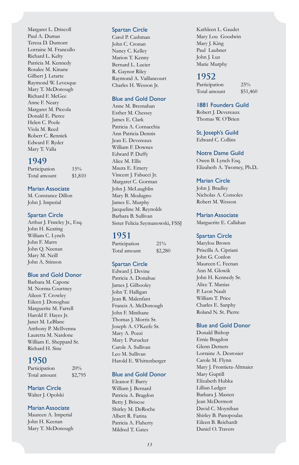Margaret L. Driscoll Paul A. Dumas Teresa D. Dumont Lorraine M. Francullo Richard L. Kelty Patricia M. Kennedy Rosalee M. Kinane Gilbert J. Letarte Raymond W. Levesque Mary T. McDonough Richard F. McGee Anne F. Neary Margaret M. Piccola Donald E. Pierce Helen C. Poole Viola M. Reed Robert C. Rennick Edward F. Ryder Mary T. Valla

#### **1949**

Participation 15% Total amount \$1,810

Marian Associate

M. Constance Dillon John J. Imperial

#### Spartan Circle

Arthur J. Frawley Jr., Esq. John H. Keating William C. Lynch John F. Marrs John Q. Neenan Mary M. Neill John A. Stinson

#### Blue and Gold Donor

Barbara M. Capone M. Norma Courtney Aileen T. Crowley Eileen J. Donoghue Marguerite M. Farrell Harold F. Hayes Jr. Janet M. LeBlanc Anthony P. McIlvenna Lauretta M. Nardone William E. Sheppard Sr. Richard H. Sine

#### **1950**

Participation  $20\%$ Total amount \$2,795

Marian Circle

Walter J. Opolski

#### Marian Associate

Maureen A. Imperial John H. Keenan Mary T. McDonough

#### Spartan Circle

Carol P. Cashman John C. Cronan Nancy C. Kelley Marion T. Kenny Bernard L. Lucier R. Gaynor Riley Raymond A. Vaillancourt Charles H. Wesson Jr.

#### Blue and Gold Donor

Anne M. Bresnahan Esther M. Chessey James E. Clark Patricia A. Cornacchia Ann Patricia Dennis Jean E. Devereaux William F. Downes Edward P. Duffy Alice M. Ellis Maura E. Emery Vincent J. Fabucci Jr. Margaret C. Gorman John J. McLaughlin Mary B. Modugno James E. Murphy Jacqueline M. Reynolds Barbara B. Sullivan Sister Felicia Szymanowski, FSSJ

#### **1951**

Participation 21% Total amount \$2,280

#### Spartan Circle

Edward J. Devine Patricia A. Donahue James J. Gilhooley John T. Halligan Jean R. Malenfant Francis A. McDonough John F. Minihane Thomas J. Morris Sr. Joseph A. O'Keefe Sr. Mary A. Pozzi Mary I. Purucker Carole A. Sullivan Leo M. Sullivan Harold E. Whittenberger

#### Blue and Gold Donor

Eleanor F. Barry William J. Bernard Patricia A. Bragdon Betty J. Briscoe Shirley M. DeRoche Albert R. Farina Patricia A. Flaherty Mildred T. Gates

Kathleen L. Gaudet Mary Lou Goodwin Mary J. King Paul Laubner John J. Luz Marie Murphy

#### **1952**

Participation 25% Total amount \$51,460

#### 1881 Founders Guild

Robert J. Devereaux Thomas W. O'Brien

St. Joseph's Guild Edward C. Collins

#### Notre Dame Guild

Owen B. Lynch Esq. Elizabeth A. Twomey, Ph.D..

#### Marian Circle

John J. Bradley Nicholas A. Consoles Robert M. Wesson

Marian Associate Marguerite E. Callahan

#### Spartan Circle

Marylou Brown Priscilla A. Cipriani John G. Conlon Maureen C. Feenan Ann M. Glowik John H. Kennedy Sr. Alice T. Manias P. Leon Nault William T. Price Charles E. Sanphy Roland N. St. Pierre

#### Blue and Gold Donor

Donald Bishop Ernie Bragdon Glenn Demers Lorraine A. Desrosier Carole M. Flynn Mary J. Frontiera-Altmaier Mary Guptill Elizabeth Hubka Lillian Ledger Barbara J. Masten Jean McDermott David C. Moynihan Shirley B. Panopoulas Eileen B. Reichardt Daniel O. Travers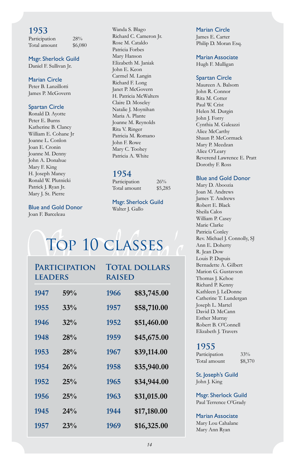Participation 28% Total amount \$6,080

#### Msgr. Sherlock Guild

Daniel F. Sullivan Jr.

#### Marian Circle

Peter B. Lanzillotti James P. McGovern

#### Spartan Circle

Ronald D. Ayotte Peter E. Burns Katherine B. Clancy William E. Cohane Jr Joanne L. Conlon Joan E. Cronin Joanne M. Denny John A. Donahue Mary F. King H. Joseph Maney Ronald W. Plutnicki Patrick J. Ryan Jr. Mary J. St. Pierre

#### Blue and Gold Donor

Joan F. Barceleau

Wanda S. Blago Richard C. Cameron Jr. Rose M. Cataldo Patricia Forbes Mary Hanson Elizabeth M. Janiak John E. Keon Carmel M. Langin Richard F. Long Janet P. McGovern H. Patricia McWalters Claire D. Moseley Natalie J. Moynihan Maria A. Plante Joanne M. Reynolds Rita V. Ringer Patricia M. Romano John F. Rowe Mary C. Toohey Patricia A. White

#### **1954**

Participation 26% Total amount \$5,285

Msgr. Sherlock Guild Walter J. Gallo

# Top 10 classes

| <b>PARTICIPATION</b><br><b>LEADERS</b> |     | <b>TOTAL DOLLARS</b><br><b>RAISED</b> |             |
|----------------------------------------|-----|---------------------------------------|-------------|
| 1947                                   | 59% | 1966                                  | \$83,745.00 |
| 1955                                   | 33% | 1957                                  | \$58,710.00 |
| 1946                                   | 32% | 1952                                  | \$51,460.00 |
| 1948                                   | 28% | 1959                                  | \$45,675.00 |
| 1953                                   | 28% | 1967                                  | \$39,114.00 |
| 1954                                   | 26% | 1958                                  | \$35,940.00 |
| 1952                                   | 25% | 1965                                  | \$34,944.00 |
| 1956                                   | 25% | 1963                                  | \$31,015.00 |
| 1945                                   | 24% | 1944                                  | \$17,180.00 |
| 1957                                   | 23% | 1969                                  | \$16,325.00 |

#### Marian Circle

James E. Carter Philip D. Moran Esq.

#### Marian Associate

Hugh F. Mulligan

#### Spartan Circle

Maureen A. Balsom John R. Connor Rita M. Cotter Paul W. Crist Helen M. Durgin John J. Forry Cynthia M. Galeazzi Alice McCarthy Shaun P. McCormack Mary P. Meedzan Alice O'Leary Reverend Lawrence E. Pratt Dorothy F. Ross

#### Blue and Gold Donor

Mary D. Aboozia Joan M. Andrews James T. Andrews Robert E. Black Sheila Calos William P. Casey Marie Clarke Patricia Conley Rev. Michael J. Connolly, SJ Ann E. Doherty R. Jean Dow Louis P. Dupuis Bernadette A. Gilbert Marion G. Gustavson Thomas J. Kehoe Richard P. Kenny Kathleen J. LeDonne Catherine T. Lundergan Joseph L. Martel David D. McCann Esther Murray Robert B. O'Connell Elizabeth J. Travers

#### **1955**

Participation 33% Total amount \$8,370

St. Joseph's Guild John J. King

Msgr. Sherlock Guild Paul Terrence O'Grady

#### Marian Associate

Mary Lou Cahalane Mary Ann Ryan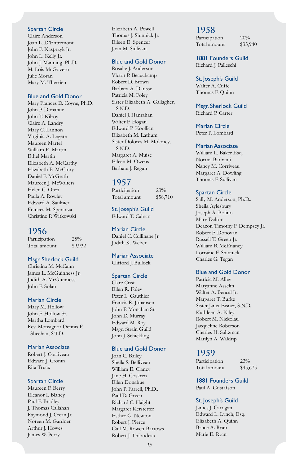#### Spartan Circle

Claire Anderson Joan L. D'Entremont John F. Kasprzyk Jr. John L. Kelly Jr. John J. Manning, Ph.D. M. Lois McGovern Julie Moran Mary M. Therrien

#### Blue and Gold Donor

Mary Frances D. Coyne, Ph.D. John P. Donahue John T. Kilroy Claire A. Landry Mary C. Lannon Virginia A. Legere Maureen Martel William E. Martin Ethel Martin Elizabeth A. McCarthy Elizabeth B. McClory Daniel F. McGrath Maureen J. McWalters Helen C. Oteri Paula A. Rowley Edward A. Saulnier Frances M. Speranza Christine P. Witkowski

#### **1956**

Participation 25% Total amount \$9,932

#### Msgr. Sherlock Guild

Christina M. McCann James L. McGuinness Jr. Judith A. McGuinness John F. Solan

#### Marian Circle

Mary M. Hollow John F. Hollow Sr. Martha Lombard Rev. Monsignor Dennis F. Sheehan, S.T.D.

#### Marian Associate

Robert J. Corriveau Edward J. Cronin Rita Truax

#### Spartan Circle

Maureen F. Berry Eleanor I. Blaney Paul F. Bradley J. Thomas Callahan Raymond J. Crean Jr. Noreen M. Gardner Arthur J. Howes James W. Perry

Elizabeth A. Powell Thomas J. Shinnick Jr. Eileen E. Spencer Joan M. Sullivan

#### Blue and Gold Donor

Rosalie J. Anderson Victor P. Beauchamp Robert D. Brown Barbara A. Darisse Patricia M. Foley Sister Elizabeth A. Gallagher, S.N.D. Daniel J. Hanrahan Walter F. Hogan Edward P. Koollian Elizabeth M. Lathum Sister Dolores M. Moloney, S.N.D. Margaret A. Muise Eileen M. Owens Barbara J. Regan

#### **1957**

Participation 23% Total amount \$58,710

St. Joseph's Guild

Edward T. Calnan

Marian Circle Daniel C. Cullinane Jr. Judith K. Weber

Marian Associate Clifford J. Bullock

#### Spartan Circle

Clare Crist Ellen R. Foley Peter L. Gauthier Francis R. Johansen John P. Monahan Sr. John D. Murray Edward M. Roy Msgr. Strain Guild John J. Schickling

#### Blue and Gold Donor

Joan C. Bailey Sheila S. Belliveau William E. Clancy Jane H. Coskren Ellen Donahue John P. Farrell, Ph.D.. Paul D. Green Richard C. Haight Margaret Kerstetter Esther G. Newton Robert J. Pierce Gail M. Rowen-Barrows Robert J. Thibodeau

#### **1958**

Participation  $20\%$ Total amount \$35,940

1881 Founders Guild Richard J. Palleschi

St. Joseph's Guild Walter A. Cuffe

Thomas F. Quinn

#### Msgr. Sherlock Guild Richard P. Carter

Marian Circle

Peter P. Lombard

#### Marian Associate

William L. Baker Esq. Norma Barbanti Nancy M. Corriveau Margaret A. Dowling Thomas F. Sullivan

#### Spartan Circle

Sally M. Anderson, Ph.D.. Sheila Aylesbury Joseph A. Bolino Mary Dalton Deacon Timothy F. Dempsey Jr. Robert F. Donovan Russell T. Green Jr. William B. McEnaney Lorraine F. Shinnick Charles G. Tegan

#### Blue and Gold Donor

Patricia M. Alley Maryanne Asselin Walter A. Bencal Jr. Margaret T. Burke Sister Janet Eisner, S.N.D. Kathleen A. Kiley Robert M. Nickolau Jacqueline Roberson Charles H. Saltzman Marilyn A. Waldrip

#### **1959**

Participation 23% Total amount \$45,675

1881 Founders Guild Paul A. Gustafson

#### St. Joseph's Guild

James J. Carrigan Edward L. Lynch, Esq. Elizabeth A. Quinn Bruce A. Ryan Marie E. Ryan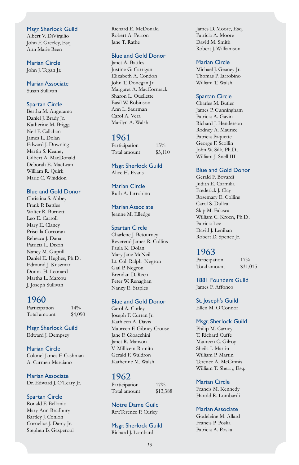#### Msgr. Sherlock Guild

Albert V. DiVirgilio John F. Greeley, Esq. Ann Marie Reen

Marian Circle John J. Tegan Jr.

Marian Associate Susan Sullivan

#### Spartan Circle

Bertha M. Angeramo Daniel J. Brady Jr. Katherine M. Briggs Neil F. Callahan James L. Dolan Edward J. Downing Martin S. Keaney Gilbert A. MacDonald Deborah E. MacLean William R. Quirk Marie C. Whiddon

#### Blue and Gold Donor

Christina S. Abbey Frank P. Battles Walter R. Burnett Leo E. Carroll Mary E. Clancy Priscilla Corcoran Rebecca J. Dana Patricia L. Dixon Nancy M. Guptill Daniel E. Hughes, Ph.D.. Edmund J. Kuszmar Donna H. Leonard Martha L. Marcou J. Joseph Sullivan

#### **1960**

Participation 14% Total amount \$4,090

Msgr. Sherlock Guild Edward J. Dempsey

Marian Circle Colonel James F. Cashman A. Carmen Marciano

Marian Associate Dr. Edward J. O'Leary Jr.

#### Spartan Circle

Ronald F. Bellonio Mary Ann Bradbury Bartley J. Conlon Cornelius J. Darcy Jr. Stephen B. Gasperoni Richard E. McDonald Robert A. Perron Jane T. Rathe

#### Blue and Gold Donor

Janet A. Battles Justine G. Carrigan Elizabeth A. Condon John T. Donegan Jr. Margaret A. MacCormack Sharon L. Ouellette Basil W. Robinson Ann L. Saurman Carol A. Vera Marilyn A. Walsh

#### **1961**

| Participation | 15%     |
|---------------|---------|
| Total amount  | \$3,110 |

Msgr. Sherlock Guild Alice H. Evans

Marian Circle Ruth A. Iarrobino

Marian Associate

Jeanne M. Elledge

#### Spartan Circle

Charlene J. Betourney Reverend James R. Collins Paula K. Dolan Mary Jane McNeil Lt. Col. Ralph Negron Gail P. Negron Brendan D. Reen Peter W. Renaghan Nancy E. Staples

#### Blue and Gold Donor

Carol A. Curley Joseph F. Curran Jr. Kathleen A. Davis Maureen F. Gibney Crouse Jane F. Gioacchini Janet R. Manson V. Millicent Romito Gerald F. Waldron Katherine M. Walsh

#### **1962**

Participation 17% Total amount \$13,388

Notre Dame Guild Rev.Terence P. Curley

#### Msgr. Sherlock Guild Richard J. Lombard

James D. Moore, Esq. Patricia A. Moore David M. Smith Robert J. Williamson

#### Marian Circle

Michael J. Geaney Jr. Thomas P. Iarrobino William T. Walsh

#### Spartan Circle

Charles M. Butler James P. Cunningham Patricia A. Gavin Richard J. Henderson Rodney A. Maurice Patricia Paquette George F. Scollin John W. Silk, Ph.D.. William J. Snell III

#### Blue and Gold Donor

Gerald F. Bovardi Judith E. Carmilia Frederick J. Clay Rosemary E. Collins Carol S. Dullea Skip M. Falasca William C. Kroen, Ph.D.. Patricia Lee David J. Lenihan Robert D. Spence Jr.

#### **1963**

Participation 17% Total amount \$31,015

1881 Founders Guild James F. Affonco

St. Joseph's Guild Ellen M. O'Connor

#### Msgr. Sherlock Guild

Philip M. Carney T. Richard Cuffe Maureen C. Gilroy Sheila I. Martin William P. Martin Terence A. McGinnis William T. Sherry, Esq.

#### Marian Circle

Francis M. Kennedy Harold R. Lombardi

#### Marian Associate

Godeleine M. Allard Francis P. Poska Patricia A. Poska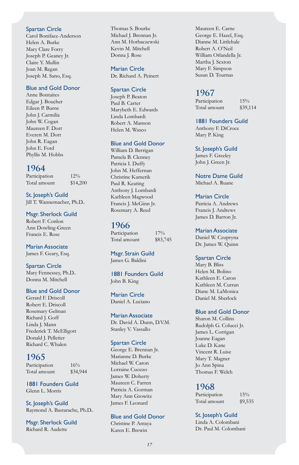#### Spartan Circle

Carol Boniface-Anderson Helen A. Burke Mary Clare Forry Joseph P. Geaney Jr. Claire Y. Mullin Joan M. Regan Joseph M. Sano, Esq.

#### Blue and Gold Donor

Anne Bontaites Edgar J. Boucher Eileen P. Burns John J. Carmilia John W. Cogan Maureen F. Dort Everett M. Dort John R. Eagan John E. Ford Phyllis M. Hobbs

#### **1964**

Participation 12% Total amount \$14,200

St. Joseph's Guild Jill T. Wannemacher, Ph.D..

Msgr. Sherlock Guild Robert F. Conlon Ann Dowling-Green Francis E. Rose

Marian Associate James F. Geary, Esq.

Spartan Circle Mary Fennessey, Ph.D.. Donna M. Mitchell

#### Blue and Gold Donor

Gerard F. Driscoll Robert E. Driscoll Rosemary Gelman Richard J. Goff Linda J. Mann Frederick T. McElligott Donald J. Pelletier Richard C. Whalen

#### **1965**

Participation 16% Total amount \$34,944

1881 Founders Guild Glenn L. Morris

St. Joseph's Guild Raymond A. Bastarache, Ph.D..

Msgr. Sherlock Guild Richard R. Audette

Thomas S. Bourke Michael J. Brennan Jr. Ann M. Horbaczewski Kevin M. Mitchell Donna J. Rose

#### Marian Circle

Dr. Richard A. Peinert

#### Spartan Circle

Joseph P. Beaton Paul B. Carter Marybeth E. Edwards Linda Lombardi Robert A. Manson Helen M. Wasco

#### Blue and Gold Donor

William D. Berrigan Pamela B. Clenney Patricia I. Duffy John M. Heffernan Christine Kamerik Paul R. Keating Anthony J. Lombardi Kathleen Magwood Francis J. McGinn Jr. Rosemary A. Reed

#### **1966**

Participation 17% Total amount \$83,745

Msgr. Strain Guild James G. Baldini

1881 Founders Guild John B. King

Marian Circle Daniel A. Luciano

#### Marian Associate

Dr. David A. Dunn, D.V.M. Stanley V. Vassallo

#### Spartan Circle

George E. Brennan Jr. Marianne D. Burke Michael W. Caron Lorraine Cuozzo James W. Doherty Maureen C. Farren Patricia A. Gorman Mary Ann Growitz James F. Leonard

#### Blue and Gold Donor

Christine P. Antaya Karen E. Brewin

Maureen E. Carne George E. Hazel, Esq. Dianne M. Littlehale Robert A. O'Neil William Orlandella Jr. Martha J. Sexton Mary F. Simpson Susan D. Tournas

#### **1967**

Participation 15% Total amount \$39,114

1881 Founders Guild Anthony F. DiCroce Mary P. King

St. Joseph's Guild James F. Greeley

John J. Green Jr.

Notre Dame Guild Michael A. Ruane

#### Marian Circle

Patricia A. Andrews Francis J. Andrews James D. Barron Jr.

#### Marian Associate

Daniel W. Czupryna Dr. James W. Quinn

#### Spartan Circle

Mary B. Bliss Helen M. Bolino Kathleen E. Caron Kathleen M. Curran Diane M. LaMonica Daniel M. Sherlock

#### Blue and Gold Donor

Sharon M. Collins Rudolph G. Colucci Jr. James L. Corrigan Joanne Eagan Luke D. Kane Vincent R. Luise Mary T. Magner Jo Ann Spina Thomas F. Welch

#### **1968**

Participation 15% Total amount \$9,535

#### St. Joseph's Guild

Linda A. Colombani Dr. Paul M. Colombani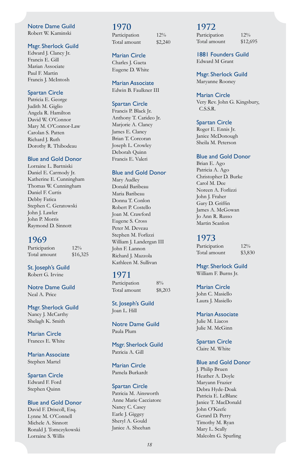#### Notre Dame Guild

Robert W. Kaminski

#### Msgr. Sherlock Guild

Edward J. Clancy Jr. Francis E. Gill Marian Associate Paul F. Martin Francis J. McIntosh

#### Spartan Circle

Patricia E. George Judith M. Giglio Angela R. Hamilton David W. O'Connor Mary M. O'Connor-Law Carolan S. Patten Richard J. Ruth Dorothy R. Thibodeau

#### Blue and Gold Donor

Lorraine L. Bartniski Daniel E. Carmody Jr. Katherine E. Cunningham Thomas W. Cunningham Daniel F. Curtis Debby Fatica Stephen C. Geratowski John J. Lawler John P. Morris Raymond D. Sinnott

#### **1969**

Participation 12% Total amount \$16,325

St. Joseph's Guild Robert G. Irvine

Notre Dame Guild Neal A. Price

#### Msgr. Sherlock Guild Nancy J. McCarthy Shelagh K. Smith

Marian Circle Frances E. White

Marian Associate Stephen Martel

Spartan Circle Edward F. Ford Stephen Quinn

#### Blue and Gold Donor

David F. Driscoll, Esq. Lynne M. O'Connell Michele A. Sinnott Ronald J. Tomczykowski Lorraine S. Willis

#### **1970**

Participation 12% Total amount \$2,240

#### Marian Circle

Charles J. Gaeta Eugene D. White

Marian Associate Edwin B. Faulkner III

#### Spartan Circle

Francis P. Black Jr. Anthony T. Carideo Jr. Marjorie A. Clancy James E. Clancy Brian T. Corcoran Joseph L. Crowley Deborah Quinn Francis E. Valeri

#### Blue and Gold Donor

Mary Audley Donald Baribeau Maria Baribeau Donna T. Conlon Robert P. Costello Joan M. Crawford Eugene S. Cross Peter M. Deveau Stephen M. Forlizzi William J. Landergan III John F. Lannon Richard J. Mazzola Kathleen M. Sullivan

#### **1971**

Participation 8% Total amount \$8,203

St. Joseph's Guild Joan L. Hill

Notre Dame Guild Paula Plum

Msgr. Sherlock Guild Patricia A. Gill

Marian Circle Pamela Burkardt

#### Spartan Circle

Patricia M. Ainsworth Anne Marie Cacciatore Nancy C. Casey Earle J. Giggey Sheryl A. Gould Janice A. Sheehan

#### **1972**

Participation 12% Total amount \$12,695

1881 Founders Guild Edward M Grant

Msgr. Sherlock Guild Maryanne Rooney

#### Marian Circle

Very Rev. John G. Kingsbury, C.S.S.R.

#### Spartan Circle

Roger E. Ennis Jr. Janice McDonough Sheila M. Peterson

#### Blue and Gold Donor

Brian E. Ago Patricia A. Ago Christopher D. Burke Carol M. Dee Noreen A. Forlizzi John J. Fraher Gary D. Griffin James A. McGowan Jo Ann R. Russo Martin Scanlon

#### **1973**

Participation 12% Total amount \$3,830

Msgr. Sherlock Guild William F. Burns Jr.

Marian Circle John C. Masiello Laura J. Masiello

Marian Associate Julie M. Liacos

Julie M. McGinn

Spartan Circle Claire M. White

#### Blue and Gold Donor

J. Philip Bruen Heather A. Doyle Maryann Frazier Debra Hyde-Doak Patricia E. LeBlanc Janice T. MacDonald John O'Keefe Gerard D. Perry Timothy M. Ryan Mary L. Scally Malcolm G. Spurling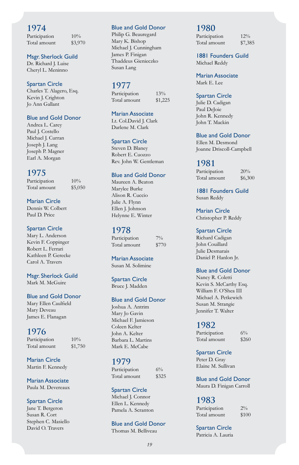Participation  $10\%$ Total amount \$3,970

Msgr. Sherlock Guild Dr. Richard J. Luise

Cheryl L. Meninno

#### Spartan Circle

Charles T. Alagero, Esq. Kevin J. Crighton Jo Ann Gallant

#### Blue and Gold Donor

Andrea L. Carey Paul J. Costello Michael J. Curran Joseph J. Lang Joseph P. Magner Earl A. Morgan

#### **1975**

Participation  $10\%$ Total amount \$5,050

Marian Circle Dennis W. Colbert Paul D. Price

#### Spartan Circle

Mary L. Anderson Kevin F. Coppinger Robert L. Ferrari Kathleen P. Gerecke Carol A. Travers

Msgr. Sherlock Guild

Mark M. McGuire

#### Blue and Gold Donor

Mary Ellen Caulfield Mary Deveau James E. Flanagan

#### **1976**

Participation  $10\%$ Total amount \$1,750

Marian Circle Martin F. Kennedy

Marian Associate Paula M. Devereaux

Spartan Circle Jane T. Bergeron Susan R. Cort

Stephen C. Masiello David O. Travers

#### Blue and Gold Donor

Philip G. Beauregard Mary K. Bishop Michael J. Cunningham James P. Finigan Thaddeus Gienieczko Susan Lang

#### **1977**

Participation 13% Total amount \$1,225

#### Marian Associate

Lt. Col.David J. Clark Darlene M. Clark

#### Spartan Circle

Steven D. Blaney Robert E. Cuozzo Rev. John W. Gentleman

#### Blue and Gold Donor

Maureen A. Beaton Marylee Burke Alison R. Cuccio Julie A. Flynn Ellen J. Johnson Helynne E. Winter

#### **1978**

Participation 7% Total amount \$770

Marian Associate Susan M. Solimine

Spartan Circle Bruce J. Madden

#### Blue and Gold Donor

Joshua A. Antrim Mary Jo Gavin Michael F. Jamieson Coleen Kelter John A. Kelter Barbara L. Martins Mark E. McCabe

#### **1979**

Participation 6% Total amount \$325

#### Spartan Circle

Michael J. Connor Ellen L. Kennedy Pamela A. Scranton

#### Blue and Gold Donor

Thomas M. Belliveau

#### **1980**

Participation 12% Total amount \$7,385

1881 Founders Guild Michael Reddy

Marian Associate Mark E. Lee

#### Spartan Circle

Julie D. Cadigan Paul DeJoie John R. Kennedy John T. Mackin

#### Blue and Gold Donor

Ellen M. Desmond Joanne Driscoll-Campbell

#### **1981**

Participation  $20\%$ Total amount \$6,300

1881 Founders Guild Susan Reddy

Marian Circle Christopher P. Reddy

#### Spartan Circle

Richard Cadigan John Couillard Julie Desmarais Daniel P. Hanlon Jr.

#### Blue and Gold Donor

Nancy R. Coletti Kevin S. McCarthy Esq. William F. O'Shea III Michael A. Petkewich Susan M. Strangie Jennifer T. Walter

#### **1982**

Participation 6% Total amount \$260

#### Spartan Circle Peter D. Gray Elaine M. Sullivan

Blue and Gold Donor

Maura D. Finigan Carroll

#### **1983**

Participation  $2\%$ Total amount \$100

Spartan Circle Patricia A. Lauria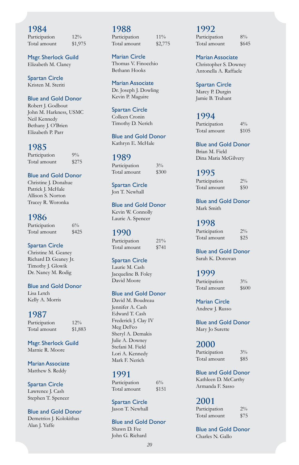Participation 12% Total amount \$1,975

Msgr. Sherlock Guild Elizabeth M. Clancy

Spartan Circle Kristen M. Steriti

#### Blue and Gold Donor

Robert J. Godbout John M. Harkness, USMC Neil Kennedy Bethany J. O'Brien Elizabeth P. Parr

#### **1985**

Participation 9% Total amount \$275

#### Blue and Gold Donor

Christine J. Donahue Patrick J. McHale Allison S. Norton Tracey R. Woronka

#### **1986**

Participation 6% Total amount \$425

#### Spartan Circle

Christine M. Geaney Richard D. Geaney Jr. Timothy J. Glowik Dr. Nancy M. Rodig

#### Blue and Gold Donor

Lisa Letch Kelly A. Morris

#### **1987**

Participation  $12\%$ Total amount \$1,883

Msgr. Sherlock Guild Marnie R. Moore

Marian Associate Matthew S. Reddy

Spartan Circle Lawrence J. Cash Stephen T. Spencer

#### Blue and Gold Donor Demetrios J. Kolokithas

Alan J. Yaffe

#### **1988** Participation 11% Total amount \$2,775

#### Marian Circle

Thomas V. Finocchio Bethann Hooks

Marian Associate Dr. Joseph J. Dowling

Kevin P. Maguire

Spartan Circle Colleen Cronin Timothy D. Nerich

Blue and Gold Donor Kathryn E. McHale

#### **1989**

Participation 3% Total amount \$300

Spartan Circle Jon T. Newhall

Blue and Gold Donor Kevin W. Connolly Laurie A. Spencer

#### **1990**

Participation 21% Total amount \$741

#### Spartan Circle

Laurie M. Cash Jacqueline B. Foley David Moore

#### Blue and Gold Donor

David M. Boudreau Jennifer A. Cash Edward T. Cash Frederick J. Clay IV Meg DeFeo Sheryl A. Demakis Julie A. Downey Stefani M. Field Lori A. Kennedy Mark F. Nerich

#### **1991**

Participation 6% Total amount \$151

Spartan Circle Jason T. Newhall

#### Blue and Gold Donor

Shawn D. Fee John G. Richard

#### **1992** Participation 8%

Total amount \$645

Marian Associate Christopher S. Downey Antonella A. Raffaele

Spartan Circle Marcy P. Durgin Jamie B. Trahant

#### **1994**

Participation  $4\%$ Total amount \$105

Blue and Gold Donor Brian M. Field Dina Maria McGilvery

#### **1995**

Participation 2% Total amount \$50

Blue and Gold Donor Mark Smith

#### **1998**

Participation 2% Total amount \$25

Blue and Gold Donor Sarah K. Donovan

#### **1999**

Participation 3% Total amount \$600

Marian Circle Andrew J. Russo

Blue and Gold Donor Mary Jo Surette

#### **2000**

| Participation | $3\%$ |
|---------------|-------|
| Total amount  | \$85  |

#### Blue and Gold Donor Kathleen D. McCarthy

Armanda F. Sasso

#### **2001**

| Participation | $2\%$ |
|---------------|-------|
| Total amount  | \$75  |

Blue and Gold Donor Charles N. Gallo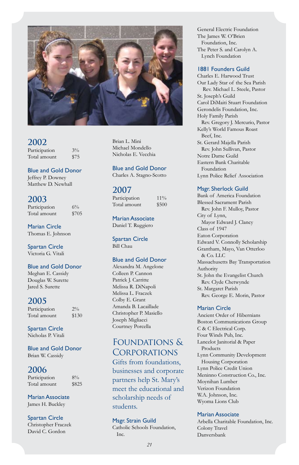

Participation 3% Total amount \$75

#### Blue and Gold Donor

Jeffrey P. Downey Matthew D. Newhall

#### **2003**

Participation 6% Total amount \$705

Marian Circle Thomas E. Johnson

Spartan Circle Victoria G. Vitali

#### Blue and Gold Donor

Meghan E. Cassidy Douglas W. Surette Jared S. Surette

#### **2005**

Participation  $2\%$ Total amount \$130

Spartan Circle Nicholas P. Vitali

Blue and Gold Donor Brian W. Cassidy

#### **2006**

Participation 8% Total amount \$825

Marian Associate James H. Buckley

#### Spartan Circle

Christopher Fraczek David C. Gordon

Brian L. Mini Michael Mondello Nicholas E. Vecchia

#### Blue and Gold Donor

Charles A. Stagno-Scotto

#### **2007**

Participation 11% Total amount \$500

Marian Associate Daniel T. Ruggiero

Spartan Circle Bill Chau

#### Blue and Gold Donor

Alexandra M. Angelone Colleen P. Cannon Patrick J. Carritte Melissa R. DiNapoli Melissa L. Fraczek Colby E. Grant Amanda B. Lacaillade Christopher P. Masiello Joseph Migliacci Courtney Porcella

#### Foundations & **CORPORATIONS**

Gifts from foundations, businesses and corporate partners help St. Mary's meet the educational and scholarship needs of students.

#### Msgr. Strain Guild

Catholic Schools Foundation, Inc.

General Electric Foundation The James W. O'Brien Foundation, Inc. The Peter S. and Carolyn A. Lynch Foundation

#### 1881 Founders Guild

Charles E. Harwood Trust Our Lady Star of the Sea Parish Rev. Michael L. Steele, Pastor St. Joseph's Guild Carol DiMaiti Stuart Foundation Gerondelis Foundation, Inc. Holy Family Parish Rev. Gregory J. Mercurio, Pastor Kelly's World Famous Roast Beef, Inc. St. Gerard Majella Parish Rev. John Sullivan, Pastor Notre Dame Guild Eastern Bank Charitable Foundation Lynn Police Relief Association

#### Msgr. Sherlock Guild

Bank of America Foundation Blessed Sacrament Parish Rev. John F. Mulloy, Pastor City of Lynn, Mayor Edward J. Clancy Class of 1947 Eaton Corporation Edward V. Connolly Scholarship Grantham, Mayo, Van Otterloo & Co. LLC Massachusetts Bay Transportation Authority St. John the Evangelist Church Rev. Clyde Chetwynde St. Margaret Parish Rev. George E. Morin, Pastor

#### Marian Circle

Ancient Order of Hibernians Boston Communications Group C & C Electrical Corp. Four Winds Pub, Inc. Lancelot Janitorial & Paper Products Lynn Community Development Housing Corporation Lynn Police Credit Union Meninno Construction Co., Inc. Moynihan Lumber Verizon Foundation W.A. Johnson, Inc. Wyoma Lions Club

#### Marian Associate

Arbella Charitable Foundation, Inc. Colony Travel Danversbank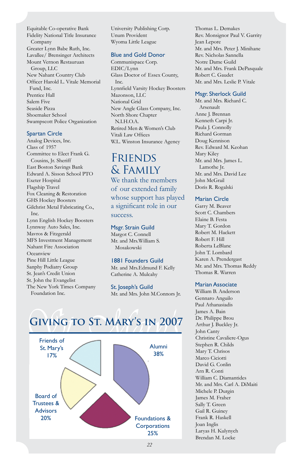Equitable Co-operative Bank Fidelity National Title Insurance Company Greater Lynn Babe Ruth, Inc. Lavallee/ Brensinger Architects Mount Vernon Restauruan Group, LLC New Nahant Country Club Officer Harold L. Vitale Memorial Fund, Inc. Prentice Hall Salem Five Seaside Pizza Shoemaker School Swampscott Police Organization

#### Spartan Circle

Analog Devices, Inc. Class of 1957 Committee to Elect Frank G. Cousins, Jr. Sheriff East Boston Savings Bank Edward A. Sisson School PTO Exeter Hospital Flagship Travel Fox Cleaning & Restoration GHS Hockey Boosters Gilchrist Metal Fabricating Co., Inc. Lynn English Hockey Boosters Lynnway Auto Sales, Inc. Mavros & Fitzgerald MFS Investment Management Nahant Fire Association Oceanview Pine Hill Little League Sanphy Podiatry Group St. Jean's Credit Union St. John the Evangelist The New York Times Company Foundation Inc.

University Publishing Corp. Unum Provident Wyoma Little League

#### Blue and Gold Donor

Communispace Corp. EDIC/Lynn Glass Doctor of Essex County, Inc. Lynnfield Varsity Hockey Boosters Mazonson, LLC National Grid New Angle Glass Company, Inc. North Shore Chapter  $N<sub>I</sub>$  H $O<sub>A</sub>$ Retired Men & Women's Club Vitali Law Offices W.L. Winston Insurance Agency

**FRIENDS** & Family We thank the members of our extended family whose support has played a significant role in our success.

#### Msgr. Strain Guild

Margot C. Connell Mr. and Mrs.William S. Mosakowski

#### 1881 Founders Guild

Mr. and Mrs.Edmund F. Kelly Catherine A. Mulcahy

St. Joseph's Guild Mr. and Mrs. John M.Connors Jr.

# **Giving to St. Mary's in 2007**



Thomas L. Demakes Rev. Monsignor Paul V. Garrity Jean Lepore Mr. and Mrs. Peter J. Minihane Rev. Nicholas Sannella Notre Dame Guild Mr. and Mrs. Frank DePasquale Robert C. Gaudet Mr. and Mrs. Leslie P. Vitale

#### Msgr. Sherlock Guild

Mr. and Mrs. Richard C. Arsenault Anne J. Brennan Kenneth Carpi Jr. Paula J. Connolly Richard Gorman Doug Kennison Rev. Edward M. Keohan Mary Kiley Mr. and Mrs. James L. Lamothe Jr. Mr. and Mrs. David Lee John McGrail Doris R. Rogalski

#### Marian Circle

Garry M. Beaver Scott C. Chambers Elaine B. Festa Mary T. Gordon Robert M. Hackett Robert F. Hill Roberta LeBlanc John T. Lombard Karen A. Prendergast Mr. and Mrs. Thomas Reddy Thomas R. Warren

#### Marian Associate

William B. Anderson Gennaro Anguilo Paul Athanasiadis James A. Bain Dr. Philippe Brou Arthur J. Buckley Jr. John Canty Christine Cavaliere-Ogus Stephen R. Childs Mary T. Chrisos Marco Ciciotti David G. Conlin Arn R. Conti William C. Diamantides Mr. and Mrs. Carl A. DiMaiti Michele P. Durgin James M. Fraher Sally T. Green Gail R. Guiney Frank R. Haskell Joan Inglis Laryas H. Kulynych Brendan M. Locke

*22*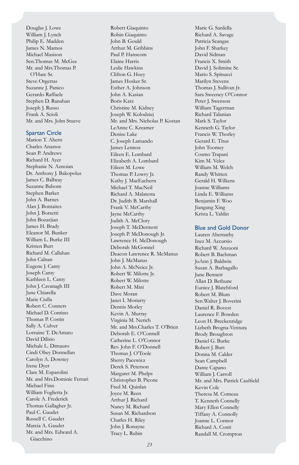Douglas J. Lowe William J. Lynch Philip E. Madden James N. Mamos Michael Masison Sen.Thomas M. McGee Mr. and Mrs.Thomas P. O'Hare Sr. Steve Orgettas Suzanne J. Panico Gerardo Raffaele Stephen D. Ranahan Joseph J. Russo Frank A. Scioli Mr. and Mrs. John Stueve

#### Spartan Circle

Marion T. Ahern Charles Anastos Sean P. Andrews Richard H. Ayer Stephanie N. Aznoian Dr. Anthony J. Bakopolus James C. Ballway Suzanne Balsom Stephen Barker John A. Barnes Alan J. Bontaites John J. Borsetti John Bozarjian James H. Brady Eleanor M. Bunker William L. Burke III Kristen Burt Richard M. Callahan John Calnan Eugene J. Canty Joseph Canty Kathleen L. Canty John J. Cavanagh III June Chiarella Marie Ciulla Robert C. Conners Michael D. Contino Thomas P. Costin Sally A. Culver Lorraine T. DeAmato David Dilisio Michale L. Dimauro Cindi Obey Donnellan Carolyn A. Downey Irene Dyer Clare M. Esparolini Mr. and Mrs.Dominic Ferrari Michael Finn William Foglietta Jr. Carole A. Frederick Thomas Gallagher Jr. Paul C. Gaudet Russell C. Gaudet Marcia A. Gaudet Mr. and Mrs. Edward A. Giacchino

Robert Giaquinto Robin Giaquinto John B. Gould Arthur M. Gribbins Paul P. Hanscom Elaine Harris Leslie Hawkins Clifton G. Hoey James Hosker Sr. Esther A. Johnson John A. Kasian Boris Katz Christine M. Kidney Joseph W. Kolodziej Mr. and Mrs. Nicholas P. Kostan LeAnne C. Kreamer Denise Lake C. Joseph Lamando James Lennox Eileen E. Lombard Elizabeth A. Lombard Eileen M. Lowe Thomas P. Lowry Jr. Kathy J. MacEachern Michael T. MacNeil Richard A. Malatesta Dr. Judith B. Marshall Frank V. McCarthy Jayne McCarthy Judith A. McClory Joseph T. McDermott Joseph P. McDonough Jr. Lawrence H. McDonough Deborah McGonnel Deacon Lawrence R. McManus John J. McManus John A. McNeice Jr. Robert W. Milotte Jr. Robert W. Milotte Robert M. Mini Dave Moran Janet I. Moriarty Dennis Morley Kevin A. Murray Virginia M. Nerich Mr. and Mrs.Charles T. O'Brien Deborah E. O'Connell Catherine L. O'Connor Rev. John F. O'Donnell Thomas J. O'Toole Sherry Pacewicz Derek S. Peterson Margaret M. Phelps Christopher B. Picone Fred M. Quinlan Joyce M. Reen Arthur J. Richard Nancy M. Richard Susan M. Richardson Charles H. Riley John J. Ronayne Tracy L. Rubin

Marie G. Sardella Richard A. Savage Patricia Scangas John F. Sharkey David Sidman Francis X. Smith David J. Solimine Sr. Mario S. Spinucci Marilyn Stevens Thomas J. Sullivan Jr. Sara Sweeney O'Connor Peter J. Swenson William Tagerman Richard Talanian Mark S. Taylor Kenneth G. Taylor Francis W. Thorley Gerard E. Titus John Toomey Cosmo Trapani Kim M. Velez William M. Welch Randy Whitten Gerald H. Wilkens Joanne Williams Linda E. Williams Benjamin F. Woo Jiangang Xing Krista L. Yablin

#### Blue and Gold Donor

Lauren Abernathy Inez M. Accursio Richard W. Anzuoni Robert B. Bachman JoAnn J. Baldwin Susan A. Barbagallo June Bennett Allan D. Bethune Eunice J. Blatchford Robert M. Blum Sen.Walter J. Boverini Daniel R. Bovest Laurence F. Bowden Leon H. Breckenridge Lizbeth Brogna-Ventura Brody Broughton Daniel G. Burke Robert J. Burt Donna M. Calder Sean Campbell Dante Capano William J. Carroll Mr. and Mrs. Patrick Caulfield Kevin Cole Theresa M. Comeau T. Kenneth Connelly Mary Ellen Connelly Tiffany A. Connolly Joanne L. Connor Richard A. Conti Randall M. Crompton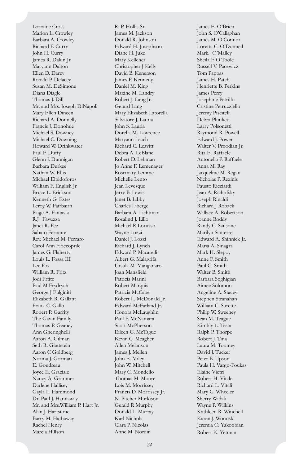Lorraine Cross Marion L. Crowley Barbara A. Crowley Richard F. Curry John H. Curry James R. Dakin Jr. Maryann Dalton Ellen D. Darcy Ronald P. Delacey Susan M. DeSimone Diana Diagle Thomas J. Dill Mr. and Mrs. Joseph DiNapoli Mary Ellen Dineen Richard A. Donnelly Francis J. Donohue Michael S. Downey Michael C. Downing Howard W. Drinkwater Paul F. Duffy Glenn J. Dunnigan Barbara Durkee Nathan W. Ellis Michael Elpidoforos William F. English Jr Bruce L. Erickson Kenneth G. Estes Leroy W. Fairbairn Paige A. Fantasia R.J. Favuzza Janet R. Fee Sabato Ferrante Rev. Michael M. Ferraro Carol Ann Fioccoprile James G. Flaherty Louis L. Fossa III Lee Fox William R. Fritz Jodi Frtitz Paul M Frydrych George J Fulginiti Elizabeth R. Gallant Frank C. Gallo Robert P. Garrity The Gavin Family Thomas P. Geaney Ann Gheringhelli Aaron A. Gilman Seth R. Glattstein Aaron C Goldberg Norma J. Gorman E. Goudreau Joyce E. Graciale Nancy A. Grimmer Darlene Hallisey Gayla L. Hammond Dr. Paul J. Hannaway Mr. and Mrs.William P. Hart Jr. Alan J. Hartstone Barry M. Hathaway Rachel Henry Marcia Hillson

R. P. Hollis Sr. James M. Jackson Donald R. Johnson Edward H. Josephson Diane H. Juke Mary Kelleher Christopher J Kelly David B. Kenerson James F. Kennedy Daniel M. King Maxine M. Landry Robert J. Lang Jr. Gerard Lang Mary Elizabeth Latorella Salvatore J. Lauria John S. Lauria Dorella M. Lawrence Maryann Leach Richard C. Leavitt Debra A. LeBlanc Robert D. Lehman Jo Anne F. Lemenager Rosemary Lemme Michelle Lento Jean Levesque Jerry B. Lewis Janet B. Libby Charles Liberge Barbara A. Lichtman Rosalind J. Lillo Michael R Lorusso Wayne Lozzi Daniel J. Lozzi Richard J. Lynch Edward P. Macarelli Albert G. Malagrifa Ursula M. Manganaro Joan Mansfield Patricia Marini Robert Marquis Patricia McCabe Robert L. McDonald Jr. Edward McFarland Jr. Honora McLaughlin Paul F. McNamara Scott McPherson Eileen G. McTague Kevin C. Meagher Allen Melanson James J. Mellen John E. Miley John W. Mitchell Mary C. Mondello Thomas M. Moore Lois M. Morrissey Francis D. Morrissey Jr. N. Pitcher Murkison Gerald R Murphy Donald L. Murray Karl Nichols Clara P. Nicolas Anne M. Nordin

James E. O'Brien John S. O'Callaghan James M. O'Connor Loretta C. O'Donnell Mark. O'Malley Sheila E O'Toole Russell V. Pacewicz Tom Pappas James H. Patch Henriette B. Perkins James Perry Josephine Petrillo Cristine Petruzziello Jeremy Piscitelli Debra Plunkett Larry Polsonetti Raymond R. Powell Edward J. Power Walter V. Proodian Jr. Rita E. Raffaele Antonella P. Raffaele Anna M. Ray Jacqueline M. Regan Nicholas P. Rexinis Fausto Ricciardi Jean A. Richofsky Joseph Rinaldi Richard J Roback Wallace A. Robertson Joanne Roddy Randy C. Sansone Marilyn Santerre Edward A. Shinnick Jr. Maria A. Sinagra Mark H. Slepoy Anne F. Smith Paul G. Smith Walter B. Smith Barbara Soghigian Aimee Solomon Angeline A. Stacey Stephen Stranahan William C. Surette Philip W. Sweeney Sean M. Teague Kimbly L. Testa Ralph P. Thorpe Robert J. Tina Laura M. Toomey David J. Tucker Peter B. Upson Paula H. Vargo-Foukas Elaine Vietri Robert H. Vitale Richard L. Vitali Mary G. Wheeler Sherry Widak Wayne P. Wilkins Kathleen R. Winchell Karen J. Wonoski Jeremia O. Yakoobian Robert K. Yetman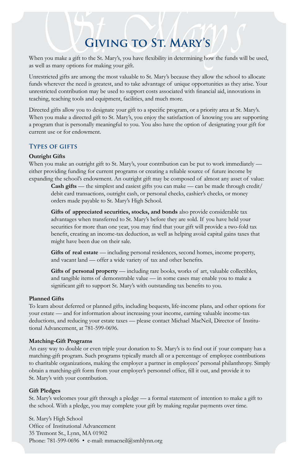# **Giving to St. Mary's**

When you make a gift to the St. Mary's, you have flexibility in determining how the funds will be used, as well as many options for making your gift.

Unrestricted gifts are among the most valuable to St. Mary's because they allow the school to allocate funds wherever the need is greatest, and to take advantage of unique opportunities as they arise. Your unrestricted contribution may be used to support costs associated with financial aid, innovations in teaching, teaching tools and equipment, facilities, and much more.

Directed gifts allow you to designate your gift to a specific program, or a priority area at St. Mary's. When you make a directed gift to St. Mary's, you enjoy the satisfaction of knowing you are supporting a program that is personally meaningful to you. You also have the option of designating your gift for current use or for endowment.

#### **Types of gifts**

#### **Outright Gifts**

When you make an outright gift to St. Mary's, your contribution can be put to work immediately either providing funding for current programs or creating a reliable source of future income by expanding the school's endowment. An outright gift may be composed of almost any asset of value:

**Cash gifts** — the simplest and easiest gifts you can make — can be made through credit/ debit card transactions, outright cash, or personal checks, cashier's checks, or money orders made payable to St. Mary's High School.

**Gifts of appreciated securities, stocks, and bonds** also provide considerable tax advantages when transferred to St. Mary's before they are sold. If you have held your securities for more than one year, you may find that your gift will provide a two-fold tax benefit, creating an income-tax deduction, as well as helping avoid capital gains taxes that might have been due on their sale.

Gifts of real estate — including personal residences, second homes, income property, and vacant land — offer a wide variety of tax and other benefits.

**Gifts of personal property** — including rare books, works of art, valuable collectibles, and tangible items of demonstrable value — in some cases may enable you to make a significant gift to support St. Mary's with outstanding tax benefits to you.

#### **Planned Gifts**

To learn about deferred or planned gifts, including bequests, life-income plans, and other options for your estate — and for information about increasing your income, earning valuable income-tax deductions, and reducing your estate taxes — please contact Michael MacNeil, Director of Institutional Advancement, at 781-599-0696.

#### **Matching-Gift Programs**

An easy way to double or even triple your donation to St. Mary's is to find out if your company has a matching-gift program. Such programs typically match all or a percentage of employee contributions to charitable organizations, making the employer a partner in employees' personal philanthropy. Simply obtain a matching-gift form from your employer's personnel office, fill it out, and provide it to St. Mary's with your contribution.

#### **Gift Pledges**

St. Mary's welcomes your gift through a pledge — a formal statement of intention to make a gift to the school. With a pledge, you may complete your gift by making regular payments over time.

St. Mary's High School Office of Institutional Advancement 35 Tremont St., Lynn, MA 01902 Phone: 781-599-0696 • e-mail: mmacneil@smhlynn.org